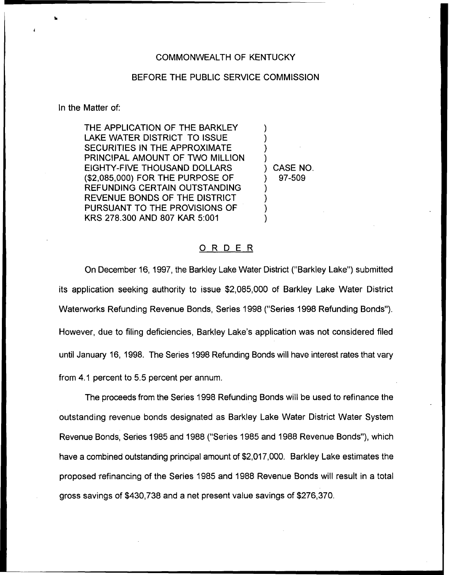## COMMONWEALTH OF KENTUCKY

## BEFORE THE PUBLIC SERVICE COMMISSION

## In the Matter of:

THE APPLICATION OF THE BARKLEY LAKE WATER DISTRICT TO ISSUE SECURITIES IN THE APPROXIMATE PRINCIPAL AMOUNT OF TWO MILLION EIGHTY-FIVE THOUSAND DOLLARS (\$2,085,000) FOR THE PURPOSE OF REFUNDING CERTAIN OUTSTANDING REVENUE BONDS OF THE DISTRICT PURSUANT TO THE PROVISIONS OF KRS 278.300 AND 807 KAR 5:001

) CASE NO. ) 97-509

) ) ) )

> ) ) ) )

## ORDER

On December 16, 1997, the Barkley Lake Water District ("Barkley Lake") submitte its application seeking authority to issue \$2,085,000 of Barkley Lake Water District Waterworks Refunding Revenue Bonds, Series 1998 ("Series 1998 Refunding Bonds"). However, due to filing deficiencies, Barkley Lake's application was not considered filed until January 16, 1998. The Series 1998 Refunding Bonds will have interest rates that vary from 4.1 percent to 5.5 percent per annum.

The proceeds from the Series 1998 Refunding Bonds will be used to refinance the outstanding revenue bonds designated as Barkley Lake Water District Water System Revenue Bonds, Series 1985 and 1988 ("Series 1985 and 1988 Revenue Bonds" ), which have a combined outstanding principal amount of \$2,017,000. Barkley Lake estimates the proposed refinancing of the Series 1985 and 1988 Revenue Bonds will result in a total gross savings of \$430,738 and a net present value savings of \$276,370.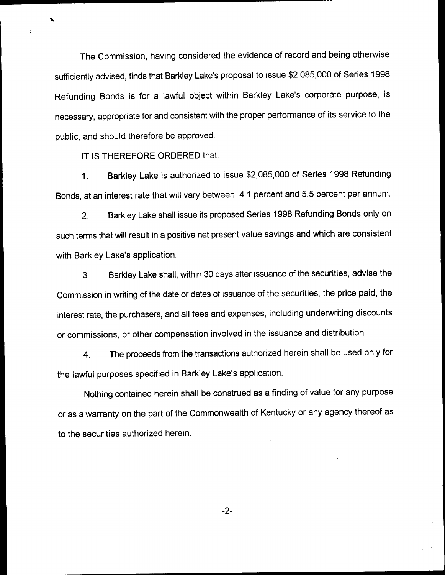The Commission, having considered the evidence of record and being otherwise sufficiently advised, finds that Barkley Lake's proposal to issue \$2,085,000 of Series 1998 Refunding Bonds is for a lawful object within Barkley Lake's corporate purpose, is necessary, appropriate for and consistent with the proper performance of its service to the public, and should therefore be approved.

IT IS THEREFORE ORDERED that:

Barkley Lake is authorized to issue \$2,085,000 of Series 1998 Refunding  $1<sub>1</sub>$ Bonds, at an interest rate that will vary between 4.1 percent and 5.5 percent per annum.

2. Barkley Lake shall issue its proposed Series 1998 Refunding Bonds only on such terms that will result in a positive net present value savings and which are consistent with Barkley Lake's application.

3. Barkley Lake shall, within 30 days after issuance of the securities, advise the Commission in writing of the date or dates of issuance of the securities, the price paid, the interest rate, the purchasers, and all fees and expenses, including underwriting discounts or commissions, or other compensation involved in the issuance and distribution.

4. The proceeds from the transactions authorized herein shall be used only for the lawful purposes specified in Barkley Lake's application.

Nothing contained herein shall be construed as a finding of value for any purpose or as a warranty on the part of the Commonwealth of Kentucky or any agency thereof as to the securities authorized herein.

 $-2-$